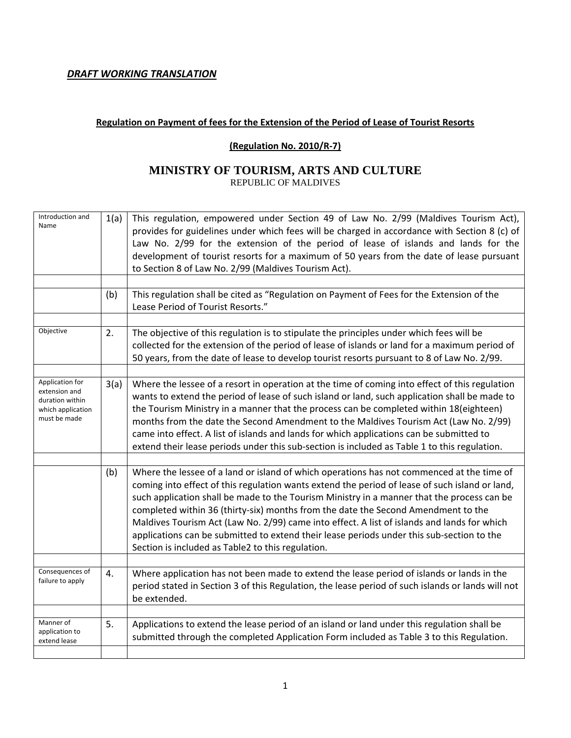#### *DRAFT WORKING TRANSLATION*

#### **Regulation on Payment of fees for the Extension of the Period of Lease of Tourist Resorts**

#### **(Regulation No. 2010/R‐7)**

#### **MINISTRY OF TOURISM, ARTS AND CULTURE**  REPUBLIC OF MALDIVES

| Introduction and<br>Name                                                                 | 1(a) | This regulation, empowered under Section 49 of Law No. 2/99 (Maldives Tourism Act),<br>provides for guidelines under which fees will be charged in accordance with Section 8 (c) of<br>Law No. 2/99 for the extension of the period of lease of islands and lands for the<br>development of tourist resorts for a maximum of 50 years from the date of lease pursuant<br>to Section 8 of Law No. 2/99 (Maldives Tourism Act).                                                                                                                                                                                                   |
|------------------------------------------------------------------------------------------|------|---------------------------------------------------------------------------------------------------------------------------------------------------------------------------------------------------------------------------------------------------------------------------------------------------------------------------------------------------------------------------------------------------------------------------------------------------------------------------------------------------------------------------------------------------------------------------------------------------------------------------------|
|                                                                                          | (b)  | This regulation shall be cited as "Regulation on Payment of Fees for the Extension of the<br>Lease Period of Tourist Resorts."                                                                                                                                                                                                                                                                                                                                                                                                                                                                                                  |
| Objective                                                                                | 2.   | The objective of this regulation is to stipulate the principles under which fees will be<br>collected for the extension of the period of lease of islands or land for a maximum period of<br>50 years, from the date of lease to develop tourist resorts pursuant to 8 of Law No. 2/99.                                                                                                                                                                                                                                                                                                                                         |
| Application for<br>extension and<br>duration within<br>which application<br>must be made | 3(a) | Where the lessee of a resort in operation at the time of coming into effect of this regulation<br>wants to extend the period of lease of such island or land, such application shall be made to<br>the Tourism Ministry in a manner that the process can be completed within 18(eighteen)<br>months from the date the Second Amendment to the Maldives Tourism Act (Law No. 2/99)<br>came into effect. A list of islands and lands for which applications can be submitted to<br>extend their lease periods under this sub-section is included as Table 1 to this regulation.                                                   |
|                                                                                          | (b)  | Where the lessee of a land or island of which operations has not commenced at the time of<br>coming into effect of this regulation wants extend the period of lease of such island or land,<br>such application shall be made to the Tourism Ministry in a manner that the process can be<br>completed within 36 (thirty-six) months from the date the Second Amendment to the<br>Maldives Tourism Act (Law No. 2/99) came into effect. A list of islands and lands for which<br>applications can be submitted to extend their lease periods under this sub-section to the<br>Section is included as Table2 to this regulation. |
| Consequences of<br>failure to apply                                                      | 4.   | Where application has not been made to extend the lease period of islands or lands in the<br>period stated in Section 3 of this Regulation, the lease period of such islands or lands will not<br>be extended.                                                                                                                                                                                                                                                                                                                                                                                                                  |
| Manner of<br>application to<br>extend lease                                              | 5.   | Applications to extend the lease period of an island or land under this regulation shall be<br>submitted through the completed Application Form included as Table 3 to this Regulation.                                                                                                                                                                                                                                                                                                                                                                                                                                         |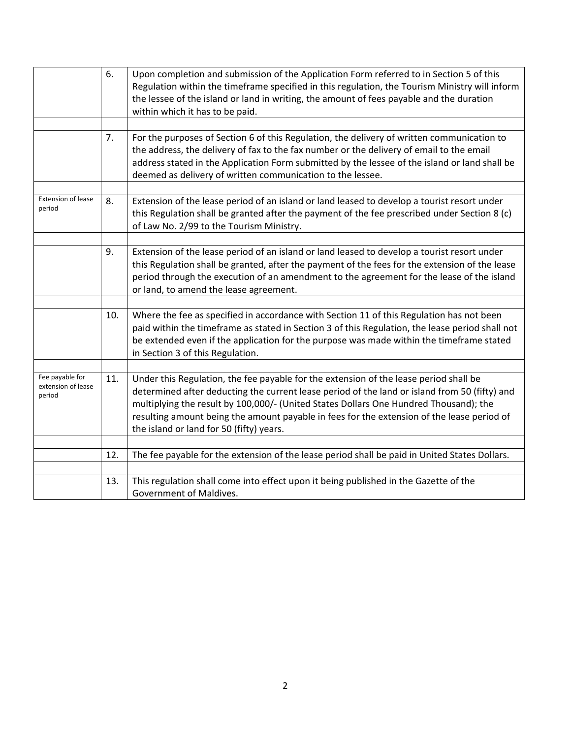|                                                 | 6.  | Upon completion and submission of the Application Form referred to in Section 5 of this<br>Regulation within the timeframe specified in this regulation, the Tourism Ministry will inform<br>the lessee of the island or land in writing, the amount of fees payable and the duration<br>within which it has to be paid.                                                                                                  |
|-------------------------------------------------|-----|---------------------------------------------------------------------------------------------------------------------------------------------------------------------------------------------------------------------------------------------------------------------------------------------------------------------------------------------------------------------------------------------------------------------------|
|                                                 | 7.  | For the purposes of Section 6 of this Regulation, the delivery of written communication to<br>the address, the delivery of fax to the fax number or the delivery of email to the email<br>address stated in the Application Form submitted by the lessee of the island or land shall be<br>deemed as delivery of written communication to the lessee.                                                                     |
| <b>Extension of lease</b><br>period             | 8.  | Extension of the lease period of an island or land leased to develop a tourist resort under<br>this Regulation shall be granted after the payment of the fee prescribed under Section 8 (c)<br>of Law No. 2/99 to the Tourism Ministry.                                                                                                                                                                                   |
|                                                 | 9.  | Extension of the lease period of an island or land leased to develop a tourist resort under<br>this Regulation shall be granted, after the payment of the fees for the extension of the lease<br>period through the execution of an amendment to the agreement for the lease of the island<br>or land, to amend the lease agreement.                                                                                      |
|                                                 | 10. | Where the fee as specified in accordance with Section 11 of this Regulation has not been<br>paid within the timeframe as stated in Section 3 of this Regulation, the lease period shall not<br>be extended even if the application for the purpose was made within the timeframe stated<br>in Section 3 of this Regulation.                                                                                               |
| Fee payable for<br>extension of lease<br>period | 11. | Under this Regulation, the fee payable for the extension of the lease period shall be<br>determined after deducting the current lease period of the land or island from 50 (fifty) and<br>multiplying the result by 100,000/- (United States Dollars One Hundred Thousand); the<br>resulting amount being the amount payable in fees for the extension of the lease period of<br>the island or land for 50 (fifty) years. |
|                                                 | 12. | The fee payable for the extension of the lease period shall be paid in United States Dollars.                                                                                                                                                                                                                                                                                                                             |
|                                                 | 13. | This regulation shall come into effect upon it being published in the Gazette of the<br>Government of Maldives.                                                                                                                                                                                                                                                                                                           |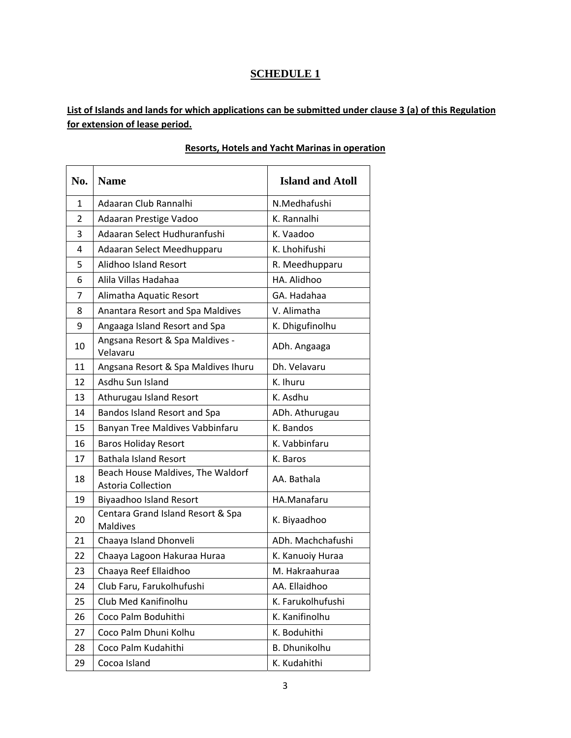## **SCHEDULE 1**

## List of Islands and lands for which applications can be submitted under clause 3 (a) of this Regulation **for extension of lease period.**

| No.            | <b>Name</b>                                                    | <b>Island and Atoll</b> |
|----------------|----------------------------------------------------------------|-------------------------|
| $\mathbf{1}$   | Adaaran Club Rannalhi                                          | N.Medhafushi            |
| $\overline{2}$ | Adaaran Prestige Vadoo                                         | K. Rannalhi             |
| 3              | Adaaran Select Hudhuranfushi                                   | K. Vaadoo               |
| 4              | Adaaran Select Meedhupparu                                     | K. Lhohifushi           |
| 5              | Alidhoo Island Resort                                          | R. Meedhupparu          |
| 6              | Alila Villas Hadahaa                                           | HA. Alidhoo             |
| 7              | Alimatha Aquatic Resort                                        | GA. Hadahaa             |
| 8              | Anantara Resort and Spa Maldives                               | V. Alimatha             |
| 9              | Angaaga Island Resort and Spa                                  | K. Dhigufinolhu         |
| 10             | Angsana Resort & Spa Maldives -<br>Velavaru                    | ADh. Angaaga            |
| 11             | Angsana Resort & Spa Maldives Ihuru                            | Dh. Velavaru            |
| 12             | Asdhu Sun Island                                               | K. Ihuru                |
| 13             | Athurugau Island Resort                                        | K. Asdhu                |
| 14             | Bandos Island Resort and Spa                                   | ADh. Athurugau          |
| 15             | Banyan Tree Maldives Vabbinfaru                                | K. Bandos               |
| 16             | <b>Baros Holiday Resort</b>                                    | K. Vabbinfaru           |
| 17             | <b>Bathala Island Resort</b>                                   | K. Baros                |
| 18             | Beach House Maldives, The Waldorf<br><b>Astoria Collection</b> | AA. Bathala             |
| 19             | Biyaadhoo Island Resort                                        | HA.Manafaru             |
| 20             | Centara Grand Island Resort & Spa<br><b>Maldives</b>           | K. Biyaadhoo            |
| 21             | Chaaya Island Dhonveli                                         | ADh. Machchafushi       |
| 22             | Chaaya Lagoon Hakuraa Huraa                                    | K. Kanuoiy Huraa        |
| 23             | Chaaya Reef Ellaidhoo                                          | M. Hakraahuraa          |
| 24             | Club Faru, Farukolhufushi                                      | AA. Ellaidhoo           |
| 25             | Club Med Kanifinolhu                                           | K. Farukolhufushi       |
| 26             | Coco Palm Boduhithi                                            | K. Kanifinolhu          |
| 27             | Coco Palm Dhuni Kolhu                                          | K. Boduhithi            |
| 28             | Coco Palm Kudahithi                                            | <b>B.</b> Dhunikolhu    |
| 29             | Cocoa Island                                                   | K. Kudahithi            |

#### **Resorts, Hotels and Yacht Marinas in operation**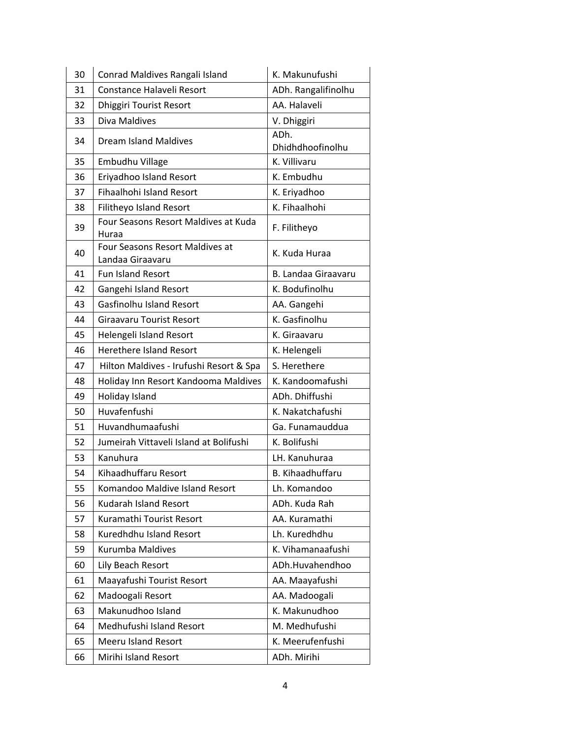| 30 | Conrad Maldives Rangali Island                      | K. Makunufushi           |
|----|-----------------------------------------------------|--------------------------|
| 31 | Constance Halaveli Resort                           | ADh. Rangalifinolhu      |
| 32 | <b>Dhiggiri Tourist Resort</b>                      | AA. Halaveli             |
| 33 | Diva Maldives                                       | V. Dhiggiri              |
| 34 | <b>Dream Island Maldives</b>                        | ADh.<br>Dhidhdhoofinolhu |
| 35 | Embudhu Village                                     | K. Villivaru             |
| 36 | Eriyadhoo Island Resort                             | K. Embudhu               |
| 37 | <b>Fihaalhohi Island Resort</b>                     | K. Eriyadhoo             |
| 38 | Filitheyo Island Resort                             | K. Fihaalhohi            |
| 39 | Four Seasons Resort Maldives at Kuda<br>Huraa       | F. Filitheyo             |
| 40 | Four Seasons Resort Maldives at<br>Landaa Giraavaru | K. Kuda Huraa            |
| 41 | Fun Island Resort                                   | B. Landaa Giraavaru      |
| 42 | Gangehi Island Resort                               | K. Bodufinolhu           |
| 43 | <b>Gasfinolhu Island Resort</b>                     | AA. Gangehi              |
| 44 | <b>Giraavaru Tourist Resort</b>                     | K. Gasfinolhu            |
| 45 | Helengeli Island Resort                             | K. Giraavaru             |
| 46 | <b>Herethere Island Resort</b>                      | K. Helengeli             |
| 47 | Hilton Maldives - Irufushi Resort & Spa             | S. Herethere             |
| 48 | Holiday Inn Resort Kandooma Maldives                | K. Kandoomafushi         |
| 49 | Holiday Island                                      | ADh. Dhiffushi           |
| 50 | Huvafenfushi                                        | K. Nakatchafushi         |
| 51 | Huvandhumaafushi                                    | Ga. Funamauddua          |
| 52 | Jumeirah Vittaveli Island at Bolifushi              | K. Bolifushi             |
| 53 | Kanuhura                                            | LH. Kanuhuraa            |
| 54 | Kihaadhuffaru Resort                                | B. Kihaadhuffaru         |
| 55 | Komandoo Maldive Island Resort                      | Lh. Komandoo             |
| 56 | Kudarah Island Resort                               | ADh. Kuda Rah            |
| 57 | Kuramathi Tourist Resort                            | AA. Kuramathi            |
| 58 | Kuredhdhu Island Resort                             | Lh. Kuredhdhu            |
| 59 | Kurumba Maldives                                    | K. Vihamanaafushi        |
| 60 | Lily Beach Resort                                   | ADh.Huvahendhoo          |
| 61 | Maayafushi Tourist Resort                           | AA. Maayafushi           |
| 62 | Madoogali Resort                                    | AA. Madoogali            |
| 63 | Makunudhoo Island                                   | K. Makunudhoo            |
| 64 | Medhufushi Island Resort                            | M. Medhufushi            |
| 65 | Meeru Island Resort                                 | K. Meerufenfushi         |
| 66 | Mirihi Island Resort                                | ADh. Mirihi              |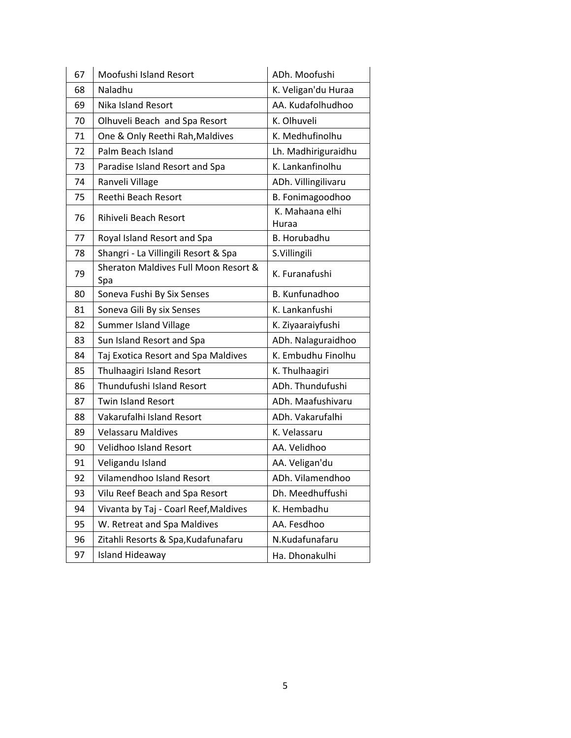| 67 | Moofushi Island Resort                      | ADh. Moofushi            |
|----|---------------------------------------------|--------------------------|
| 68 | Naladhu                                     | K. Veligan'du Huraa      |
| 69 | <b>Nika Island Resort</b>                   | AA. Kudafolhudhoo        |
| 70 | Olhuveli Beach and Spa Resort               | K. Olhuveli              |
| 71 | One & Only Reethi Rah, Maldives             | K. Medhufinolhu          |
| 72 | Palm Beach Island                           | Lh. Madhiriguraidhu      |
| 73 | Paradise Island Resort and Spa              | K. Lankanfinolhu         |
| 74 | Ranveli Village                             | ADh. Villingilivaru      |
| 75 | Reethi Beach Resort                         | B. Fonimagoodhoo         |
| 76 | Rihiveli Beach Resort                       | K. Mahaana elhi<br>Huraa |
| 77 | Royal Island Resort and Spa                 | B. Horubadhu             |
| 78 | Shangri - La Villingili Resort & Spa        | S.Villingili             |
| 79 | Sheraton Maldives Full Moon Resort &<br>Spa | K. Furanafushi           |
| 80 | Soneva Fushi By Six Senses                  | B. Kunfunadhoo           |
| 81 | Soneva Gili By six Senses                   | K. Lankanfushi           |
| 82 | Summer Island Village                       | K. Ziyaaraiyfushi        |
| 83 | Sun Island Resort and Spa                   | ADh. Nalaguraidhoo       |
| 84 | Taj Exotica Resort and Spa Maldives         | K. Embudhu Finolhu       |
| 85 | Thulhaagiri Island Resort                   | K. Thulhaagiri           |
| 86 | Thundufushi Island Resort                   | ADh. Thundufushi         |
| 87 | <b>Twin Island Resort</b>                   | ADh. Maafushivaru        |
| 88 | Vakarufalhi Island Resort                   | ADh. Vakarufalhi         |
| 89 | <b>Velassaru Maldives</b>                   | K. Velassaru             |
| 90 | Velidhoo Island Resort                      | AA. Velidhoo             |
| 91 | Veligandu Island                            | AA. Veligan'du           |
| 92 | Vilamendhoo Island Resort                   | ADh. Vilamendhoo         |
| 93 | Vilu Reef Beach and Spa Resort              | Dh. Meedhuffushi         |
| 94 | Vivanta by Taj - Coarl Reef, Maldives       | K. Hembadhu              |
| 95 | W. Retreat and Spa Maldives                 | AA. Fesdhoo              |
| 96 | Zitahli Resorts & Spa, Kudafunafaru         | N.Kudafunafaru           |
| 97 | <b>Island Hideaway</b>                      | Ha. Dhonakulhi           |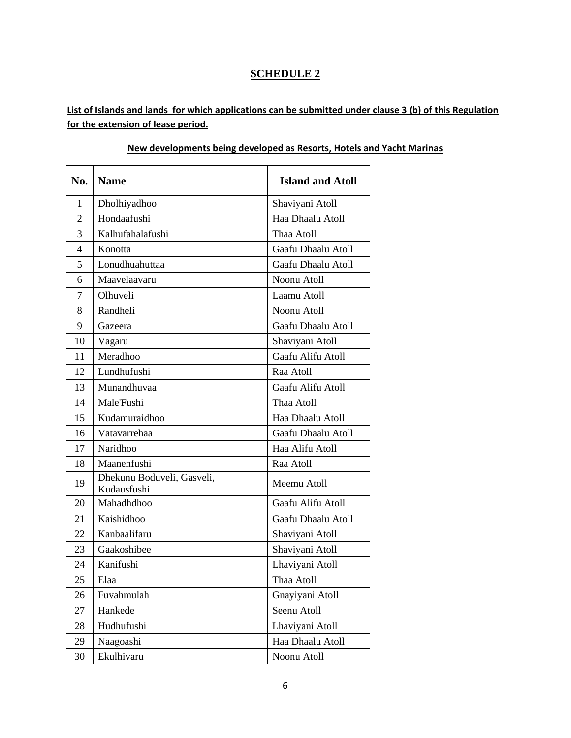## **SCHEDULE 2**

List of Islands and lands for which applications can be submitted under clause 3 (b) of this Regulation **for the extension of lease period.**

| No.            | <b>Name</b>                               | <b>Island and Atoll</b> |
|----------------|-------------------------------------------|-------------------------|
| $\mathbf{1}$   | Dholhiyadhoo                              | Shaviyani Atoll         |
| $\overline{2}$ | Hondaafushi                               | Haa Dhaalu Atoll        |
| 3              | Kalhufahalafushi                          | Thaa Atoll              |
| $\overline{4}$ | Konotta                                   | Gaafu Dhaalu Atoll      |
| 5              | Lonudhuahuttaa                            | Gaafu Dhaalu Atoll      |
| 6              | Maavelaavaru                              | Noonu Atoll             |
| 7              | Olhuveli                                  | Laamu Atoll             |
| 8              | Randheli                                  | Noonu Atoll             |
| 9              | Gazeera                                   | Gaafu Dhaalu Atoll      |
| 10             | Vagaru                                    | Shaviyani Atoll         |
| 11             | Meradhoo                                  | Gaafu Alifu Atoll       |
| 12             | Lundhufushi                               | Raa Atoll               |
| 13             | Munandhuvaa                               | Gaafu Alifu Atoll       |
| 14             | Male'Fushi                                | Thaa Atoll              |
| 15             | Kudamuraidhoo                             | Haa Dhaalu Atoll        |
| 16             | Vatavarrehaa                              | Gaafu Dhaalu Atoll      |
| 17             | Naridhoo                                  | Haa Alifu Atoll         |
| 18             | Maanenfushi                               | Raa Atoll               |
| 19             | Dhekunu Boduveli, Gasveli,<br>Kudausfushi | Meemu Atoll             |
| 20             | Mahadhdhoo                                | Gaafu Alifu Atoll       |
| 21             | Kaishidhoo                                | Gaafu Dhaalu Atoll      |
| 22             | Kanbaalifaru                              | Shaviyani Atoll         |
| 23             | Gaakoshibee                               | Shaviyani Atoll         |
| 24             | Kanifushi                                 | Lhaviyani Atoll         |
| 25             | Elaa                                      | Thaa Atoll              |
| 26             | Fuvahmulah                                | Gnayiyani Atoll         |
| 27             | Hankede                                   | Seenu Atoll             |
| 28             | Hudhufushi                                | Lhaviyani Atoll         |
| 29             | Naagoashi                                 | Haa Dhaalu Atoll        |
| 30             | Ekulhivaru                                | Noonu Atoll             |

#### **New developments being developed as Resorts, Hotels and Yacht Marinas**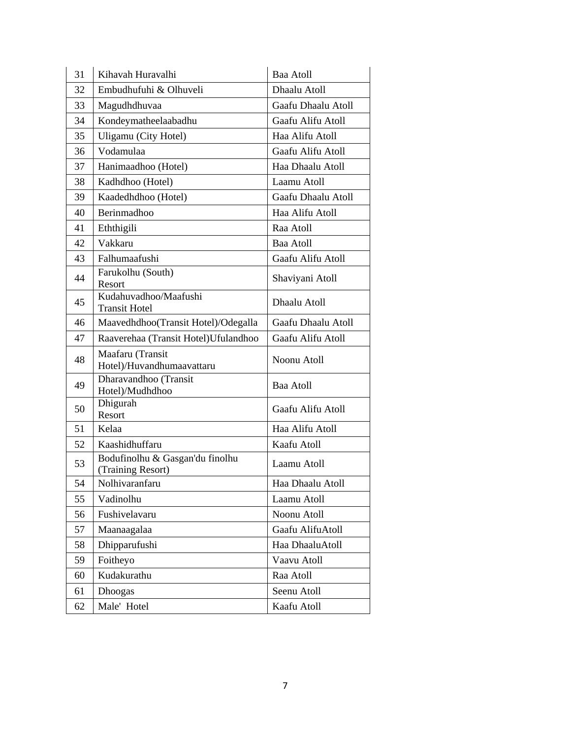| 31 | Kihavah Huravalhi                                    | Baa Atoll          |
|----|------------------------------------------------------|--------------------|
| 32 | Embudhufuhi & Olhuveli                               | Dhaalu Atoll       |
| 33 | Magudhdhuvaa                                         | Gaafu Dhaalu Atoll |
| 34 | Kondeymatheelaabadhu                                 | Gaafu Alifu Atoll  |
| 35 | Uligamu (City Hotel)                                 | Haa Alifu Atoll    |
| 36 | Vodamulaa                                            | Gaafu Alifu Atoll  |
| 37 | Hanimaadhoo (Hotel)                                  | Haa Dhaalu Atoll   |
| 38 | Kadhdhoo (Hotel)                                     | Laamu Atoll        |
| 39 | Kaadedhdhoo (Hotel)                                  | Gaafu Dhaalu Atoll |
| 40 | Berinmadhoo                                          | Haa Alifu Atoll    |
| 41 | Eththigili                                           | Raa Atoll          |
| 42 | Vakkaru                                              | Baa Atoll          |
| 43 | Falhumaafushi                                        | Gaafu Alifu Atoll  |
| 44 | Farukolhu (South)<br>Resort                          | Shaviyani Atoll    |
| 45 | Kudahuvadhoo/Maafushi<br><b>Transit Hotel</b>        | Dhaalu Atoll       |
| 46 | Maavedhdhoo(Transit Hotel)/Odegalla                  | Gaafu Dhaalu Atoll |
| 47 | Raaverehaa (Transit Hotel) Ufulandhoo                | Gaafu Alifu Atoll  |
| 48 | Maafaru (Transit<br>Hotel)/Huvandhumaavattaru        | Noonu Atoll        |
| 49 | Dharavandhoo (Transit<br>Hotel)/Mudhdhoo             | Baa Atoll          |
| 50 | Dhigurah<br>Resort                                   | Gaafu Alifu Atoll  |
| 51 | Kelaa                                                | Haa Alifu Atoll    |
| 52 | Kaashidhuffaru                                       | Kaafu Atoll        |
| 53 | Bodufinolhu & Gasgan'du finolhu<br>(Training Resort) | Laamu Atoll        |
| 54 | Nolhivaranfaru                                       | Haa Dhaalu Atoll   |
| 55 | Vadinolhu                                            | Laamu Atoll        |
| 56 | Fushivelavaru                                        | Noonu Atoll        |
| 57 | Maanaagalaa                                          | Gaafu AlifuAtoll   |
| 58 | Dhipparufushi                                        | Haa DhaaluAtoll    |
| 59 | Foitheyo                                             | Vaavu Atoll        |
| 60 | Kudakurathu                                          | Raa Atoll          |
| 61 | Dhoogas                                              | Seenu Atoll        |
| 62 | Male' Hotel                                          | Kaafu Atoll        |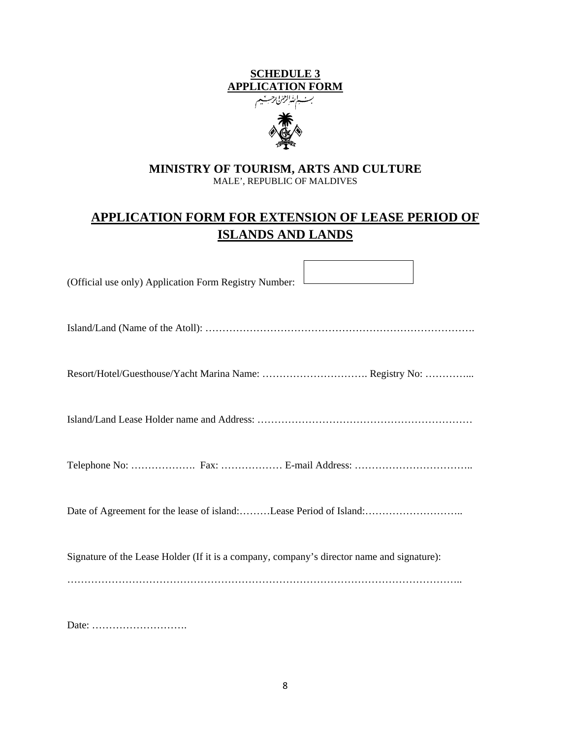# **SCHEDULE 3 APPLICATION FORM**



#### **MINISTRY OF TOURISM, ARTS AND CULTURE**  MALE', REPUBLIC OF MALDIVES

## **APPLICATION FORM FOR EXTENSION OF LEASE PERIOD OF ISLANDS AND LANDS**

| (Official use only) Application Form Registry Number:                                      |
|--------------------------------------------------------------------------------------------|
|                                                                                            |
|                                                                                            |
|                                                                                            |
|                                                                                            |
|                                                                                            |
| Signature of the Lease Holder (If it is a company, company's director name and signature): |
|                                                                                            |
|                                                                                            |